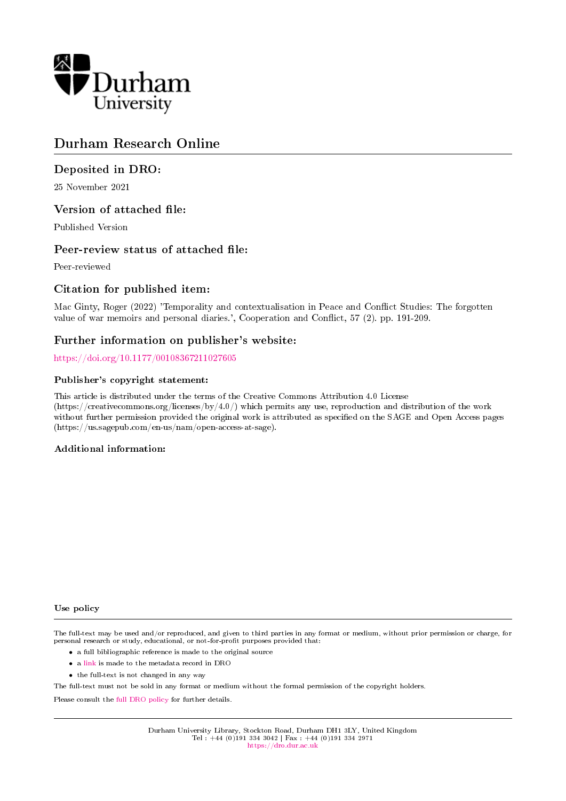

# Durham Research Online

# Deposited in DRO:

25 November 2021

# Version of attached file:

Published Version

# Peer-review status of attached file:

Peer-reviewed

# Citation for published item:

Mac Ginty, Roger (2022) 'Temporality and contextualisation in Peace and Conflict Studies: The forgotten value of war memoirs and personal diaries.', Cooperation and Conflict, 57 (2). pp. 191-209.

# Further information on publisher's website:

<https://doi.org/10.1177/00108367211027605>

### Publisher's copyright statement:

This article is distributed under the terms of the Creative Commons Attribution 4.0 License (https://creativecommons.org/licenses/by/4.0/) which permits any use, reproduction and distribution of the work without further permission provided the original work is attributed as specified on the SAGE and Open Access pages (https://us.sagepub.com/en-us/nam/open-access-at-sage).

### Additional information:

### Use policy

The full-text may be used and/or reproduced, and given to third parties in any format or medium, without prior permission or charge, for personal research or study, educational, or not-for-profit purposes provided that:

- a full bibliographic reference is made to the original source
- a [link](http://dro.dur.ac.uk/33155/) is made to the metadata record in DRO
- the full-text is not changed in any way

The full-text must not be sold in any format or medium without the formal permission of the copyright holders.

Please consult the [full DRO policy](https://dro.dur.ac.uk/policies/usepolicy.pdf) for further details.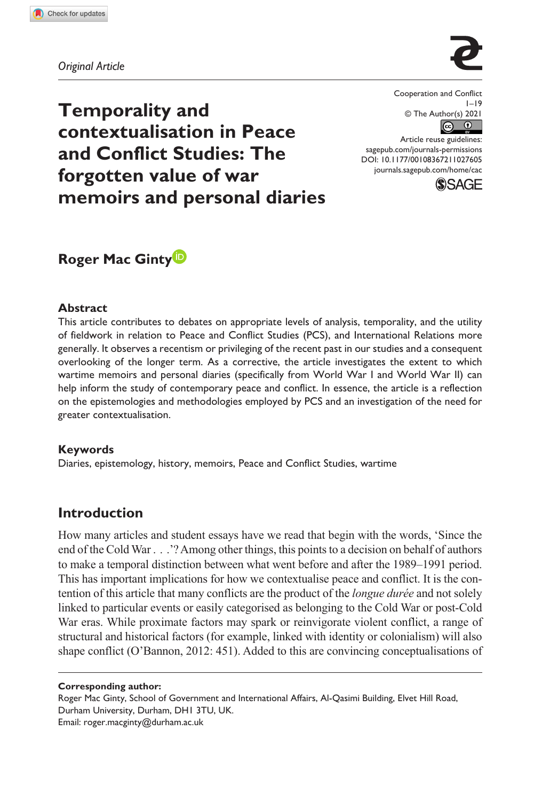**1027[605](http://crossmark.crossref.org/dialog/?doi=10.1177%2F00108367211027605&domain=pdf&date_stamp=2021-10-21)** CAC0010.1177/00108367211027605Cooperation and Conflict**Mac Ginty**

*Original Article*



**Temporality and contextualisation in Peace and Conflict Studies: The forgotten value of war memoirs and personal diaries** Cooperation and Conflict  $1 - 19$ © The Author(s) 2021

DOI: 10.1177/00108367211027605 Article reuse guidelines: [sagepub.com/journals-permissions](https://uk.sagepub.com/en-gb/journals-permissions) [journals.sagepub.com/home/cac](https://journals.sagepub.com/home/cac)



# **Roger Mac Ginty**

### **Abstract**

This article contributes to debates on appropriate levels of analysis, temporality, and the utility of fieldwork in relation to Peace and Conflict Studies (PCS), and International Relations more generally. It observes a recentism or privileging of the recent past in our studies and a consequent overlooking of the longer term. As a corrective, the article investigates the extent to which wartime memoirs and personal diaries (specifically from World War I and World War II) can help inform the study of contemporary peace and conflict. In essence, the article is a reflection on the epistemologies and methodologies employed by PCS and an investigation of the need for greater contextualisation.

### **Keywords**

Diaries, epistemology, history, memoirs, Peace and Conflict Studies, wartime

### **Introduction**

How many articles and student essays have we read that begin with the words, 'Since the end of the Cold War . . .'? Among other things, this points to a decision on behalf of authors to make a temporal distinction between what went before and after the 1989–1991 period. This has important implications for how we contextualise peace and conflict. It is the contention of this article that many conflicts are the product of the *longue durée* and not solely linked to particular events or easily categorised as belonging to the Cold War or post-Cold War eras. While proximate factors may spark or reinvigorate violent conflict, a range of structural and historical factors (for example, linked with identity or colonialism) will also shape conflict (O'Bannon, 2012: 451). Added to this are convincing conceptualisations of

#### **Corresponding author:**

Roger Mac Ginty, School of Government and International Affairs, Al-Qasimi Building, Elvet Hill Road, Durham University, Durham, DH1 3TU, UK. Email: [roger.macginty@durham.ac.uk](mailto:roger.macginty@durham.ac.uk)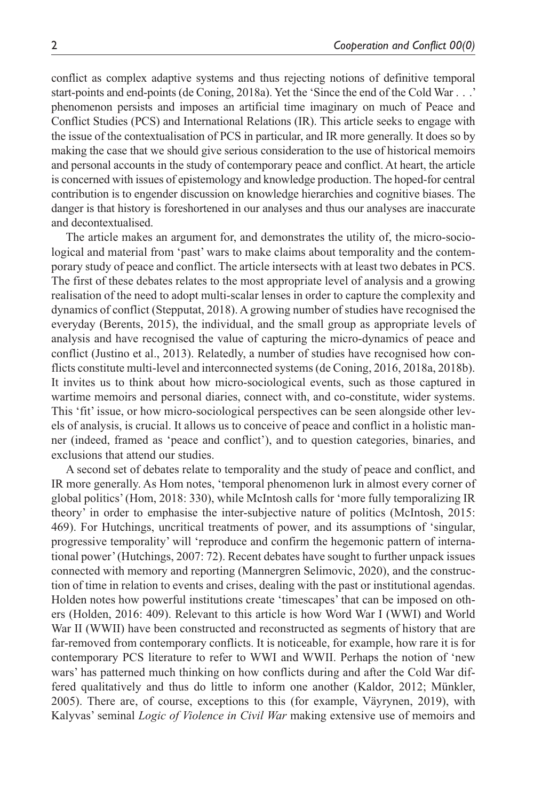conflict as complex adaptive systems and thus rejecting notions of definitive temporal start-points and end-points (de Coning, 2018a). Yet the 'Since the end of the Cold War . . .' phenomenon persists and imposes an artificial time imaginary on much of Peace and Conflict Studies (PCS) and International Relations (IR). This article seeks to engage with the issue of the contextualisation of PCS in particular, and IR more generally. It does so by making the case that we should give serious consideration to the use of historical memoirs and personal accounts in the study of contemporary peace and conflict. At heart, the article is concerned with issues of epistemology and knowledge production. The hoped-for central contribution is to engender discussion on knowledge hierarchies and cognitive biases. The danger is that history is foreshortened in our analyses and thus our analyses are inaccurate and decontextualised.

The article makes an argument for, and demonstrates the utility of, the micro-sociological and material from 'past' wars to make claims about temporality and the contemporary study of peace and conflict. The article intersects with at least two debates in PCS. The first of these debates relates to the most appropriate level of analysis and a growing realisation of the need to adopt multi-scalar lenses in order to capture the complexity and dynamics of conflict (Stepputat, 2018). A growing number of studies have recognised the everyday (Berents, 2015), the individual, and the small group as appropriate levels of analysis and have recognised the value of capturing the micro-dynamics of peace and conflict (Justino et al., 2013). Relatedly, a number of studies have recognised how conflicts constitute multi-level and interconnected systems (de Coning, 2016, 2018a, 2018b). It invites us to think about how micro-sociological events, such as those captured in wartime memoirs and personal diaries, connect with, and co-constitute, wider systems. This 'fit' issue, or how micro-sociological perspectives can be seen alongside other levels of analysis, is crucial. It allows us to conceive of peace and conflict in a holistic manner (indeed, framed as 'peace and conflict'), and to question categories, binaries, and exclusions that attend our studies.

A second set of debates relate to temporality and the study of peace and conflict, and IR more generally. As Hom notes, 'temporal phenomenon lurk in almost every corner of global politics' (Hom, 2018: 330), while McIntosh calls for 'more fully temporalizing IR theory' in order to emphasise the inter-subjective nature of politics (McIntosh, 2015: 469). For Hutchings, uncritical treatments of power, and its assumptions of 'singular, progressive temporality' will 'reproduce and confirm the hegemonic pattern of international power' (Hutchings, 2007: 72). Recent debates have sought to further unpack issues connected with memory and reporting (Mannergren Selimovic, 2020), and the construction of time in relation to events and crises, dealing with the past or institutional agendas. Holden notes how powerful institutions create 'timescapes' that can be imposed on others (Holden, 2016: 409). Relevant to this article is how Word War I (WWI) and World War II (WWII) have been constructed and reconstructed as segments of history that are far-removed from contemporary conflicts. It is noticeable, for example, how rare it is for contemporary PCS literature to refer to WWI and WWII. Perhaps the notion of 'new wars' has patterned much thinking on how conflicts during and after the Cold War differed qualitatively and thus do little to inform one another (Kaldor, 2012; Münkler, 2005). There are, of course, exceptions to this (for example, Väyrynen, 2019), with Kalyvas' seminal *Logic of Violence in Civil War* making extensive use of memoirs and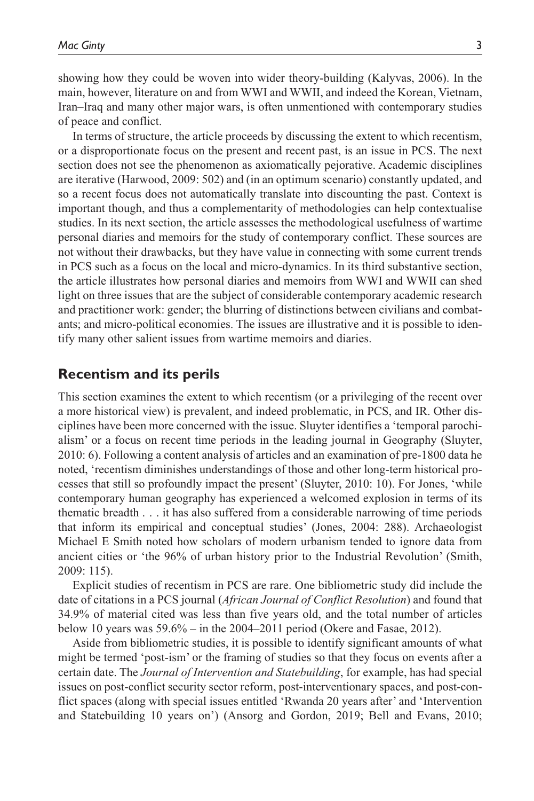showing how they could be woven into wider theory-building (Kalyvas, 2006). In the main, however, literature on and from WWI and WWII, and indeed the Korean, Vietnam, Iran–Iraq and many other major wars, is often unmentioned with contemporary studies of peace and conflict.

In terms of structure, the article proceeds by discussing the extent to which recentism, or a disproportionate focus on the present and recent past, is an issue in PCS. The next section does not see the phenomenon as axiomatically pejorative. Academic disciplines are iterative (Harwood, 2009: 502) and (in an optimum scenario) constantly updated, and so a recent focus does not automatically translate into discounting the past. Context is important though, and thus a complementarity of methodologies can help contextualise studies. In its next section, the article assesses the methodological usefulness of wartime personal diaries and memoirs for the study of contemporary conflict. These sources are not without their drawbacks, but they have value in connecting with some current trends in PCS such as a focus on the local and micro-dynamics. In its third substantive section, the article illustrates how personal diaries and memoirs from WWI and WWII can shed light on three issues that are the subject of considerable contemporary academic research and practitioner work: gender; the blurring of distinctions between civilians and combatants; and micro-political economies. The issues are illustrative and it is possible to identify many other salient issues from wartime memoirs and diaries.

### **Recentism and its perils**

This section examines the extent to which recentism (or a privileging of the recent over a more historical view) is prevalent, and indeed problematic, in PCS, and IR. Other disciplines have been more concerned with the issue. Sluyter identifies a 'temporal parochialism' or a focus on recent time periods in the leading journal in Geography (Sluyter, 2010: 6). Following a content analysis of articles and an examination of pre-1800 data he noted, 'recentism diminishes understandings of those and other long-term historical processes that still so profoundly impact the present' (Sluyter, 2010: 10). For Jones, 'while contemporary human geography has experienced a welcomed explosion in terms of its thematic breadth . . . it has also suffered from a considerable narrowing of time periods that inform its empirical and conceptual studies' (Jones, 2004: 288). Archaeologist Michael E Smith noted how scholars of modern urbanism tended to ignore data from ancient cities or 'the 96% of urban history prior to the Industrial Revolution' (Smith, 2009: 115).

Explicit studies of recentism in PCS are rare. One bibliometric study did include the date of citations in a PCS journal (*African Journal of Conflict Resolution*) and found that 34.9% of material cited was less than five years old, and the total number of articles below 10 years was 59.6% – in the 2004–2011 period (Okere and Fasae, 2012).

Aside from bibliometric studies, it is possible to identify significant amounts of what might be termed 'post-ism' or the framing of studies so that they focus on events after a certain date. The *Journal of Intervention and Statebuilding*, for example, has had special issues on post-conflict security sector reform, post-interventionary spaces, and post-conflict spaces (along with special issues entitled 'Rwanda 20 years after' and 'Intervention and Statebuilding 10 years on') (Ansorg and Gordon, 2019; Bell and Evans, 2010;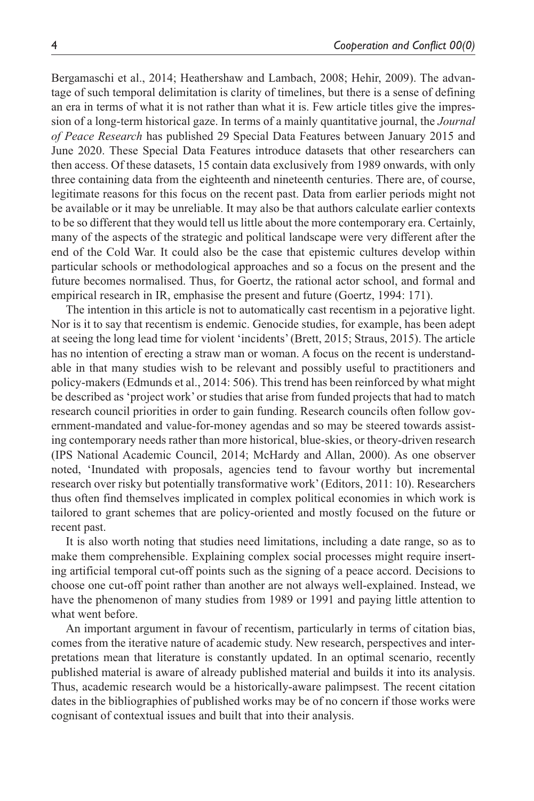Bergamaschi et al., 2014; Heathershaw and Lambach, 2008; Hehir, 2009). The advantage of such temporal delimitation is clarity of timelines, but there is a sense of defining an era in terms of what it is not rather than what it is. Few article titles give the impression of a long-term historical gaze. In terms of a mainly quantitative journal, the *Journal of Peace Research* has published 29 Special Data Features between January 2015 and June 2020. These Special Data Features introduce datasets that other researchers can then access. Of these datasets, 15 contain data exclusively from 1989 onwards, with only three containing data from the eighteenth and nineteenth centuries. There are, of course, legitimate reasons for this focus on the recent past. Data from earlier periods might not be available or it may be unreliable. It may also be that authors calculate earlier contexts to be so different that they would tell us little about the more contemporary era. Certainly, many of the aspects of the strategic and political landscape were very different after the end of the Cold War. It could also be the case that epistemic cultures develop within particular schools or methodological approaches and so a focus on the present and the future becomes normalised. Thus, for Goertz, the rational actor school, and formal and empirical research in IR, emphasise the present and future (Goertz, 1994: 171).

The intention in this article is not to automatically cast recentism in a pejorative light. Nor is it to say that recentism is endemic. Genocide studies, for example, has been adept at seeing the long lead time for violent 'incidents' (Brett, 2015; Straus, 2015). The article has no intention of erecting a straw man or woman. A focus on the recent is understandable in that many studies wish to be relevant and possibly useful to practitioners and policy-makers (Edmunds et al., 2014: 506). This trend has been reinforced by what might be described as 'project work' or studies that arise from funded projects that had to match research council priorities in order to gain funding. Research councils often follow government-mandated and value-for-money agendas and so may be steered towards assisting contemporary needs rather than more historical, blue-skies, or theory-driven research (IPS National Academic Council, 2014; McHardy and Allan, 2000). As one observer noted, 'Inundated with proposals, agencies tend to favour worthy but incremental research over risky but potentially transformative work' (Editors, 2011: 10). Researchers thus often find themselves implicated in complex political economies in which work is tailored to grant schemes that are policy-oriented and mostly focused on the future or recent past.

It is also worth noting that studies need limitations, including a date range, so as to make them comprehensible. Explaining complex social processes might require inserting artificial temporal cut-off points such as the signing of a peace accord. Decisions to choose one cut-off point rather than another are not always well-explained. Instead, we have the phenomenon of many studies from 1989 or 1991 and paying little attention to what went before.

An important argument in favour of recentism, particularly in terms of citation bias, comes from the iterative nature of academic study. New research, perspectives and interpretations mean that literature is constantly updated. In an optimal scenario, recently published material is aware of already published material and builds it into its analysis. Thus, academic research would be a historically-aware palimpsest. The recent citation dates in the bibliographies of published works may be of no concern if those works were cognisant of contextual issues and built that into their analysis.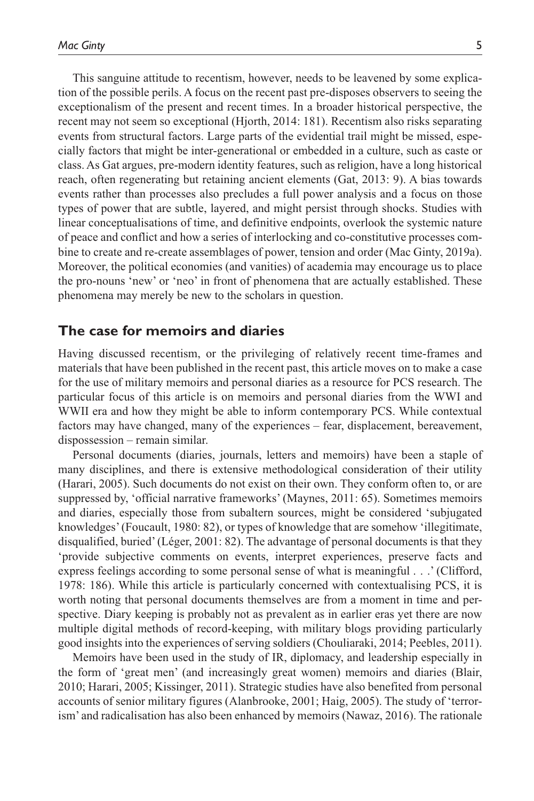This sanguine attitude to recentism, however, needs to be leavened by some explication of the possible perils. A focus on the recent past pre-disposes observers to seeing the exceptionalism of the present and recent times. In a broader historical perspective, the recent may not seem so exceptional (Hjorth, 2014: 181). Recentism also risks separating events from structural factors. Large parts of the evidential trail might be missed, especially factors that might be inter-generational or embedded in a culture, such as caste or class. As Gat argues, pre-modern identity features, such as religion, have a long historical reach, often regenerating but retaining ancient elements (Gat, 2013: 9). A bias towards events rather than processes also precludes a full power analysis and a focus on those types of power that are subtle, layered, and might persist through shocks. Studies with linear conceptualisations of time, and definitive endpoints, overlook the systemic nature of peace and conflict and how a series of interlocking and co-constitutive processes combine to create and re-create assemblages of power, tension and order (Mac Ginty, 2019a). Moreover, the political economies (and vanities) of academia may encourage us to place the pro-nouns 'new' or 'neo' in front of phenomena that are actually established. These phenomena may merely be new to the scholars in question.

### **The case for memoirs and diaries**

Having discussed recentism, or the privileging of relatively recent time-frames and materials that have been published in the recent past, this article moves on to make a case for the use of military memoirs and personal diaries as a resource for PCS research. The particular focus of this article is on memoirs and personal diaries from the WWI and WWII era and how they might be able to inform contemporary PCS. While contextual factors may have changed, many of the experiences – fear, displacement, bereavement, dispossession – remain similar.

Personal documents (diaries, journals, letters and memoirs) have been a staple of many disciplines, and there is extensive methodological consideration of their utility (Harari, 2005). Such documents do not exist on their own. They conform often to, or are suppressed by, 'official narrative frameworks' (Maynes, 2011: 65). Sometimes memoirs and diaries, especially those from subaltern sources, might be considered 'subjugated knowledges' (Foucault, 1980: 82), or types of knowledge that are somehow 'illegitimate, disqualified, buried' (Léger, 2001: 82). The advantage of personal documents is that they 'provide subjective comments on events, interpret experiences, preserve facts and express feelings according to some personal sense of what is meaningful . . .' (Clifford, 1978: 186). While this article is particularly concerned with contextualising PCS, it is worth noting that personal documents themselves are from a moment in time and perspective. Diary keeping is probably not as prevalent as in earlier eras yet there are now multiple digital methods of record-keeping, with military blogs providing particularly good insights into the experiences of serving soldiers (Chouliaraki, 2014; Peebles, 2011).

Memoirs have been used in the study of IR, diplomacy, and leadership especially in the form of 'great men' (and increasingly great women) memoirs and diaries (Blair, 2010; Harari, 2005; Kissinger, 2011). Strategic studies have also benefited from personal accounts of senior military figures (Alanbrooke, 2001; Haig, 2005). The study of 'terrorism' and radicalisation has also been enhanced by memoirs (Nawaz, 2016). The rationale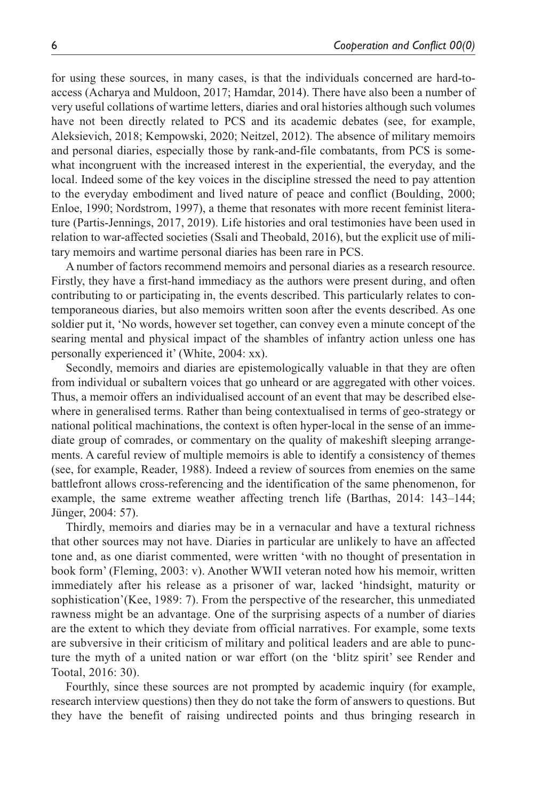for using these sources, in many cases, is that the individuals concerned are hard-toaccess (Acharya and Muldoon, 2017; Hamdar, 2014). There have also been a number of very useful collations of wartime letters, diaries and oral histories although such volumes have not been directly related to PCS and its academic debates (see, for example, Aleksievich, 2018; Kempowski, 2020; Neitzel, 2012). The absence of military memoirs and personal diaries, especially those by rank-and-file combatants, from PCS is somewhat incongruent with the increased interest in the experiential, the everyday, and the local. Indeed some of the key voices in the discipline stressed the need to pay attention to the everyday embodiment and lived nature of peace and conflict (Boulding, 2000; Enloe, 1990; Nordstrom, 1997), a theme that resonates with more recent feminist literature (Partis-Jennings, 2017, 2019). Life histories and oral testimonies have been used in relation to war-affected societies (Ssali and Theobald, 2016), but the explicit use of military memoirs and wartime personal diaries has been rare in PCS.

A number of factors recommend memoirs and personal diaries as a research resource. Firstly, they have a first-hand immediacy as the authors were present during, and often contributing to or participating in, the events described. This particularly relates to contemporaneous diaries, but also memoirs written soon after the events described. As one soldier put it, 'No words, however set together, can convey even a minute concept of the searing mental and physical impact of the shambles of infantry action unless one has personally experienced it' (White, 2004: xx).

Secondly, memoirs and diaries are epistemologically valuable in that they are often from individual or subaltern voices that go unheard or are aggregated with other voices. Thus, a memoir offers an individualised account of an event that may be described elsewhere in generalised terms. Rather than being contextualised in terms of geo-strategy or national political machinations, the context is often hyper-local in the sense of an immediate group of comrades, or commentary on the quality of makeshift sleeping arrangements. A careful review of multiple memoirs is able to identify a consistency of themes (see, for example, Reader, 1988). Indeed a review of sources from enemies on the same battlefront allows cross-referencing and the identification of the same phenomenon, for example, the same extreme weather affecting trench life (Barthas, 2014: 143–144; Jünger, 2004: 57).

Thirdly, memoirs and diaries may be in a vernacular and have a textural richness that other sources may not have. Diaries in particular are unlikely to have an affected tone and, as one diarist commented, were written 'with no thought of presentation in book form' (Fleming, 2003: v). Another WWII veteran noted how his memoir, written immediately after his release as a prisoner of war, lacked 'hindsight, maturity or sophistication'(Kee, 1989: 7). From the perspective of the researcher, this unmediated rawness might be an advantage. One of the surprising aspects of a number of diaries are the extent to which they deviate from official narratives. For example, some texts are subversive in their criticism of military and political leaders and are able to puncture the myth of a united nation or war effort (on the 'blitz spirit' see Render and Tootal, 2016: 30).

Fourthly, since these sources are not prompted by academic inquiry (for example, research interview questions) then they do not take the form of answers to questions. But they have the benefit of raising undirected points and thus bringing research in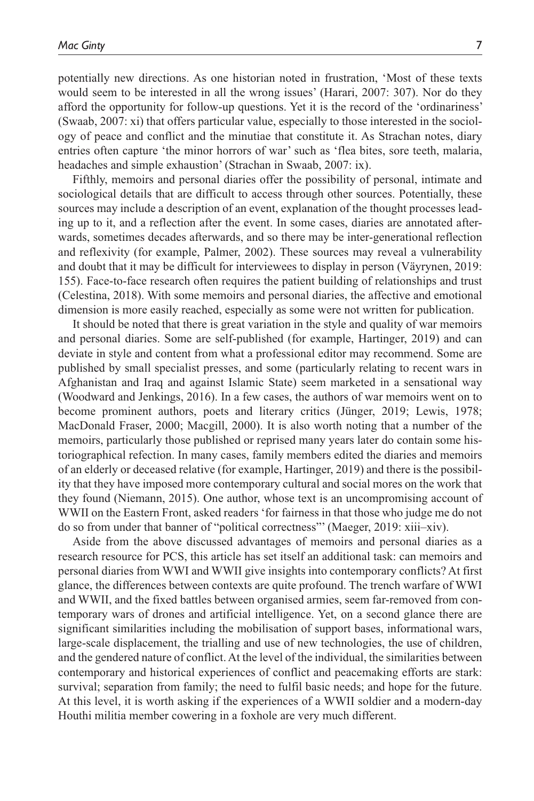potentially new directions. As one historian noted in frustration, 'Most of these texts would seem to be interested in all the wrong issues' (Harari, 2007: 307). Nor do they afford the opportunity for follow-up questions. Yet it is the record of the 'ordinariness' (Swaab, 2007: xi) that offers particular value, especially to those interested in the sociology of peace and conflict and the minutiae that constitute it. As Strachan notes, diary entries often capture 'the minor horrors of war' such as 'flea bites, sore teeth, malaria, headaches and simple exhaustion' (Strachan in Swaab, 2007: ix).

Fifthly, memoirs and personal diaries offer the possibility of personal, intimate and sociological details that are difficult to access through other sources. Potentially, these sources may include a description of an event, explanation of the thought processes leading up to it, and a reflection after the event. In some cases, diaries are annotated afterwards, sometimes decades afterwards, and so there may be inter-generational reflection and reflexivity (for example, Palmer, 2002). These sources may reveal a vulnerability and doubt that it may be difficult for interviewees to display in person (Väyrynen, 2019: 155). Face-to-face research often requires the patient building of relationships and trust (Celestina, 2018). With some memoirs and personal diaries, the affective and emotional dimension is more easily reached, especially as some were not written for publication.

It should be noted that there is great variation in the style and quality of war memoirs and personal diaries. Some are self-published (for example, Hartinger, 2019) and can deviate in style and content from what a professional editor may recommend. Some are published by small specialist presses, and some (particularly relating to recent wars in Afghanistan and Iraq and against Islamic State) seem marketed in a sensational way (Woodward and Jenkings, 2016). In a few cases, the authors of war memoirs went on to become prominent authors, poets and literary critics (Jünger, 2019; Lewis, 1978; MacDonald Fraser, 2000; Macgill, 2000). It is also worth noting that a number of the memoirs, particularly those published or reprised many years later do contain some historiographical refection. In many cases, family members edited the diaries and memoirs of an elderly or deceased relative (for example, Hartinger, 2019) and there is the possibility that they have imposed more contemporary cultural and social mores on the work that they found (Niemann, 2015). One author, whose text is an uncompromising account of WWII on the Eastern Front, asked readers 'for fairness in that those who judge me do not do so from under that banner of "political correctness"' (Maeger, 2019: xiii–xiv).

Aside from the above discussed advantages of memoirs and personal diaries as a research resource for PCS, this article has set itself an additional task: can memoirs and personal diaries from WWI and WWII give insights into contemporary conflicts? At first glance, the differences between contexts are quite profound. The trench warfare of WWI and WWII, and the fixed battles between organised armies, seem far-removed from contemporary wars of drones and artificial intelligence. Yet, on a second glance there are significant similarities including the mobilisation of support bases, informational wars, large-scale displacement, the trialling and use of new technologies, the use of children, and the gendered nature of conflict. At the level of the individual, the similarities between contemporary and historical experiences of conflict and peacemaking efforts are stark: survival; separation from family; the need to fulfil basic needs; and hope for the future. At this level, it is worth asking if the experiences of a WWII soldier and a modern-day Houthi militia member cowering in a foxhole are very much different.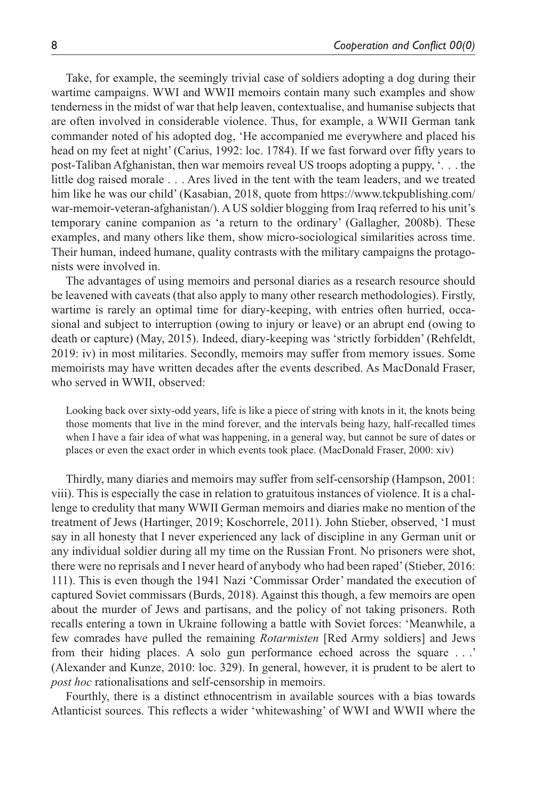Take, for example, the seemingly trivial case of soldiers adopting a dog during their wartime campaigns. WWI and WWII memoirs contain many such examples and show tenderness in the midst of war that help leaven, contextualise, and humanise subjects that are often involved in considerable violence. Thus, for example, a WWII German tank commander noted of his adopted dog, 'He accompanied me everywhere and placed his head on my feet at night' (Carius, 1992: loc. 1784). If we fast forward over fifty years to post-Taliban Afghanistan, then war memoirs reveal US troops adopting a puppy, '. . . the little dog raised morale . . . Ares lived in the tent with the team leaders, and we treated him like he was our child' (Kasabian, 2018, quote from [https://www.tckpublishing.com/](https://www.tckpublishing.com/war-memoir-veteran-afghanistan/) [war-memoir-veteran-afghanistan/\)](https://www.tckpublishing.com/war-memoir-veteran-afghanistan/). A US soldier blogging from Iraq referred to his unit's temporary canine companion as 'a return to the ordinary' (Gallagher, 2008b). These examples, and many others like them, show micro-sociological similarities across time. Their human, indeed humane, quality contrasts with the military campaigns the protagonists were involved in.

The advantages of using memoirs and personal diaries as a research resource should be leavened with caveats (that also apply to many other research methodologies). Firstly, wartime is rarely an optimal time for diary-keeping, with entries often hurried, occasional and subject to interruption (owing to injury or leave) or an abrupt end (owing to death or capture) (May, 2015). Indeed, diary-keeping was 'strictly forbidden' (Rehfeldt, 2019: iv) in most militaries. Secondly, memoirs may suffer from memory issues. Some memoirists may have written decades after the events described. As MacDonald Fraser, who served in WWII, observed:

Looking back over sixty-odd years, life is like a piece of string with knots in it, the knots being those moments that live in the mind forever, and the intervals being hazy, half-recalled times when I have a fair idea of what was happening, in a general way, but cannot be sure of dates or places or even the exact order in which events took place. (MacDonald Fraser, 2000: xiv)

Thirdly, many diaries and memoirs may suffer from self-censorship (Hampson, 2001: viii). This is especially the case in relation to gratuitous instances of violence. It is a challenge to credulity that many WWII German memoirs and diaries make no mention of the treatment of Jews (Hartinger, 2019; Koschorrele, 2011). John Stieber, observed, 'I must say in all honesty that I never experienced any lack of discipline in any German unit or any individual soldier during all my time on the Russian Front. No prisoners were shot, there were no reprisals and I never heard of anybody who had been raped' (Stieber, 2016: 111). This is even though the 1941 Nazi 'Commissar Order' mandated the execution of captured Soviet commissars (Burds, 2018). Against this though, a few memoirs are open about the murder of Jews and partisans, and the policy of not taking prisoners. Roth recalls entering a town in Ukraine following a battle with Soviet forces: 'Meanwhile, a few comrades have pulled the remaining *Rotarmisten* [Red Army soldiers] and Jews from their hiding places. A solo gun performance echoed across the square . . .' (Alexander and Kunze, 2010: loc. 329). In general, however, it is prudent to be alert to *post hoc* rationalisations and self-censorship in memoirs.

Fourthly, there is a distinct ethnocentrism in available sources with a bias towards Atlanticist sources. This reflects a wider 'whitewashing' of WWI and WWII where the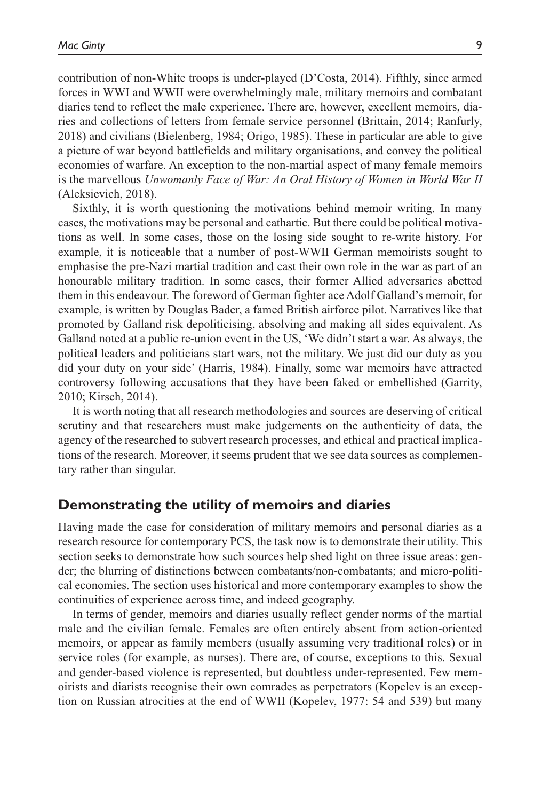contribution of non-White troops is under-played (D'Costa, 2014). Fifthly, since armed forces in WWI and WWII were overwhelmingly male, military memoirs and combatant diaries tend to reflect the male experience. There are, however, excellent memoirs, diaries and collections of letters from female service personnel (Brittain, 2014; Ranfurly, 2018) and civilians (Bielenberg, 1984; Origo, 1985). These in particular are able to give a picture of war beyond battlefields and military organisations, and convey the political economies of warfare. An exception to the non-martial aspect of many female memoirs is the marvellous *Unwomanly Face of War: An Oral History of Women in World War II* (Aleksievich, 2018).

Sixthly, it is worth questioning the motivations behind memoir writing. In many cases, the motivations may be personal and cathartic. But there could be political motivations as well. In some cases, those on the losing side sought to re-write history. For example, it is noticeable that a number of post-WWII German memoirists sought to emphasise the pre-Nazi martial tradition and cast their own role in the war as part of an honourable military tradition. In some cases, their former Allied adversaries abetted them in this endeavour. The foreword of German fighter ace Adolf Galland's memoir, for example, is written by Douglas Bader, a famed British airforce pilot. Narratives like that promoted by Galland risk depoliticising, absolving and making all sides equivalent. As Galland noted at a public re-union event in the US, 'We didn't start a war. As always, the political leaders and politicians start wars, not the military. We just did our duty as you did your duty on your side' (Harris, 1984). Finally, some war memoirs have attracted controversy following accusations that they have been faked or embellished (Garrity, 2010; Kirsch, 2014).

It is worth noting that all research methodologies and sources are deserving of critical scrutiny and that researchers must make judgements on the authenticity of data, the agency of the researched to subvert research processes, and ethical and practical implications of the research. Moreover, it seems prudent that we see data sources as complementary rather than singular.

### **Demonstrating the utility of memoirs and diaries**

Having made the case for consideration of military memoirs and personal diaries as a research resource for contemporary PCS, the task now is to demonstrate their utility. This section seeks to demonstrate how such sources help shed light on three issue areas: gender; the blurring of distinctions between combatants/non-combatants; and micro-political economies. The section uses historical and more contemporary examples to show the continuities of experience across time, and indeed geography.

In terms of gender, memoirs and diaries usually reflect gender norms of the martial male and the civilian female. Females are often entirely absent from action-oriented memoirs, or appear as family members (usually assuming very traditional roles) or in service roles (for example, as nurses). There are, of course, exceptions to this. Sexual and gender-based violence is represented, but doubtless under-represented. Few memoirists and diarists recognise their own comrades as perpetrators (Kopelev is an exception on Russian atrocities at the end of WWII (Kopelev, 1977: 54 and 539) but many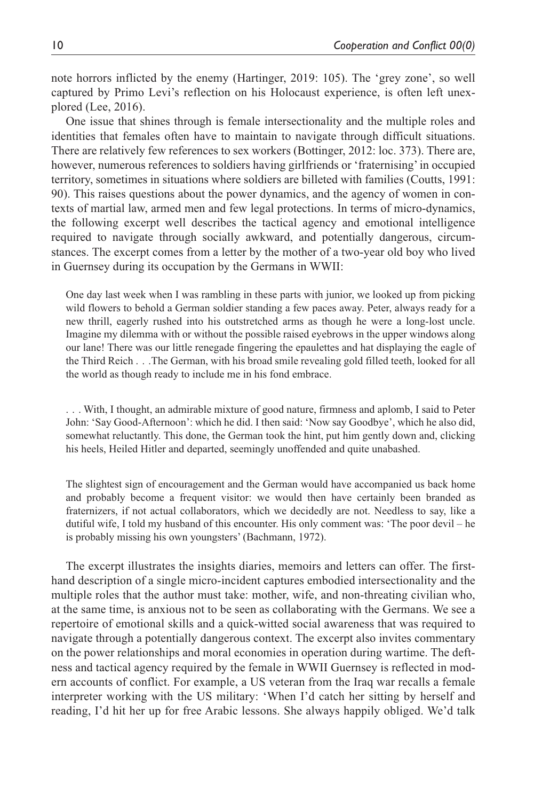note horrors inflicted by the enemy (Hartinger, 2019: 105). The 'grey zone', so well captured by Primo Levi's reflection on his Holocaust experience, is often left unexplored (Lee, 2016).

One issue that shines through is female intersectionality and the multiple roles and identities that females often have to maintain to navigate through difficult situations. There are relatively few references to sex workers (Bottinger, 2012: loc. 373). There are, however, numerous references to soldiers having girlfriends or 'fraternising' in occupied territory, sometimes in situations where soldiers are billeted with families (Coutts, 1991: 90). This raises questions about the power dynamics, and the agency of women in contexts of martial law, armed men and few legal protections. In terms of micro-dynamics, the following excerpt well describes the tactical agency and emotional intelligence required to navigate through socially awkward, and potentially dangerous, circumstances. The excerpt comes from a letter by the mother of a two-year old boy who lived in Guernsey during its occupation by the Germans in WWII:

One day last week when I was rambling in these parts with junior, we looked up from picking wild flowers to behold a German soldier standing a few paces away. Peter, always ready for a new thrill, eagerly rushed into his outstretched arms as though he were a long-lost uncle. Imagine my dilemma with or without the possible raised eyebrows in the upper windows along our lane! There was our little renegade fingering the epaulettes and hat displaying the eagle of the Third Reich . . .The German, with his broad smile revealing gold filled teeth, looked for all the world as though ready to include me in his fond embrace.

. . . With, I thought, an admirable mixture of good nature, firmness and aplomb, I said to Peter John: 'Say Good-Afternoon': which he did. I then said: 'Now say Goodbye', which he also did, somewhat reluctantly. This done, the German took the hint, put him gently down and, clicking his heels, Heiled Hitler and departed, seemingly unoffended and quite unabashed.

The slightest sign of encouragement and the German would have accompanied us back home and probably become a frequent visitor: we would then have certainly been branded as fraternizers, if not actual collaborators, which we decidedly are not. Needless to say, like a dutiful wife, I told my husband of this encounter. His only comment was: 'The poor devil – he is probably missing his own youngsters' (Bachmann, 1972).

The excerpt illustrates the insights diaries, memoirs and letters can offer. The firsthand description of a single micro-incident captures embodied intersectionality and the multiple roles that the author must take: mother, wife, and non-threating civilian who, at the same time, is anxious not to be seen as collaborating with the Germans. We see a repertoire of emotional skills and a quick-witted social awareness that was required to navigate through a potentially dangerous context. The excerpt also invites commentary on the power relationships and moral economies in operation during wartime. The deftness and tactical agency required by the female in WWII Guernsey is reflected in modern accounts of conflict. For example, a US veteran from the Iraq war recalls a female interpreter working with the US military: 'When I'd catch her sitting by herself and reading, I'd hit her up for free Arabic lessons. She always happily obliged. We'd talk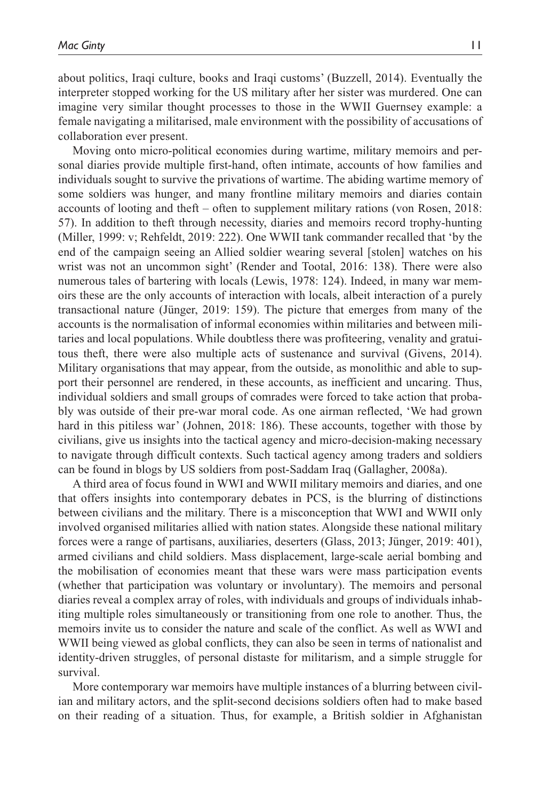about politics, Iraqi culture, books and Iraqi customs' (Buzzell, 2014). Eventually the interpreter stopped working for the US military after her sister was murdered. One can imagine very similar thought processes to those in the WWII Guernsey example: a female navigating a militarised, male environment with the possibility of accusations of collaboration ever present.

Moving onto micro-political economies during wartime, military memoirs and personal diaries provide multiple first-hand, often intimate, accounts of how families and individuals sought to survive the privations of wartime. The abiding wartime memory of some soldiers was hunger, and many frontline military memoirs and diaries contain accounts of looting and theft – often to supplement military rations (von Rosen, 2018: 57). In addition to theft through necessity, diaries and memoirs record trophy-hunting (Miller, 1999: v; Rehfeldt, 2019: 222). One WWII tank commander recalled that 'by the end of the campaign seeing an Allied soldier wearing several [stolen] watches on his wrist was not an uncommon sight' (Render and Tootal, 2016: 138). There were also numerous tales of bartering with locals (Lewis, 1978: 124). Indeed, in many war memoirs these are the only accounts of interaction with locals, albeit interaction of a purely transactional nature (Jünger, 2019: 159). The picture that emerges from many of the accounts is the normalisation of informal economies within militaries and between militaries and local populations. While doubtless there was profiteering, venality and gratuitous theft, there were also multiple acts of sustenance and survival (Givens, 2014). Military organisations that may appear, from the outside, as monolithic and able to support their personnel are rendered, in these accounts, as inefficient and uncaring. Thus, individual soldiers and small groups of comrades were forced to take action that probably was outside of their pre-war moral code. As one airman reflected, 'We had grown hard in this pitiless war' (Johnen, 2018: 186). These accounts, together with those by civilians, give us insights into the tactical agency and micro-decision-making necessary to navigate through difficult contexts. Such tactical agency among traders and soldiers can be found in blogs by US soldiers from post-Saddam Iraq (Gallagher, 2008a).

A third area of focus found in WWI and WWII military memoirs and diaries, and one that offers insights into contemporary debates in PCS, is the blurring of distinctions between civilians and the military. There is a misconception that WWI and WWII only involved organised militaries allied with nation states. Alongside these national military forces were a range of partisans, auxiliaries, deserters (Glass, 2013; Jünger, 2019: 401), armed civilians and child soldiers. Mass displacement, large-scale aerial bombing and the mobilisation of economies meant that these wars were mass participation events (whether that participation was voluntary or involuntary). The memoirs and personal diaries reveal a complex array of roles, with individuals and groups of individuals inhabiting multiple roles simultaneously or transitioning from one role to another. Thus, the memoirs invite us to consider the nature and scale of the conflict. As well as WWI and WWII being viewed as global conflicts, they can also be seen in terms of nationalist and identity-driven struggles, of personal distaste for militarism, and a simple struggle for survival.

More contemporary war memoirs have multiple instances of a blurring between civilian and military actors, and the split-second decisions soldiers often had to make based on their reading of a situation. Thus, for example, a British soldier in Afghanistan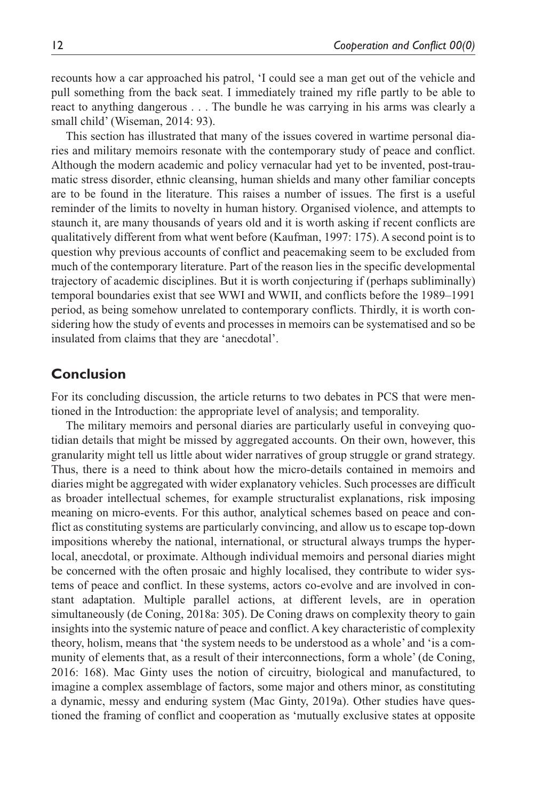recounts how a car approached his patrol, 'I could see a man get out of the vehicle and pull something from the back seat. I immediately trained my rifle partly to be able to react to anything dangerous . . . The bundle he was carrying in his arms was clearly a small child' (Wiseman, 2014: 93).

This section has illustrated that many of the issues covered in wartime personal diaries and military memoirs resonate with the contemporary study of peace and conflict. Although the modern academic and policy vernacular had yet to be invented, post-traumatic stress disorder, ethnic cleansing, human shields and many other familiar concepts are to be found in the literature. This raises a number of issues. The first is a useful reminder of the limits to novelty in human history. Organised violence, and attempts to staunch it, are many thousands of years old and it is worth asking if recent conflicts are qualitatively different from what went before (Kaufman, 1997: 175). A second point is to question why previous accounts of conflict and peacemaking seem to be excluded from much of the contemporary literature. Part of the reason lies in the specific developmental trajectory of academic disciplines. But it is worth conjecturing if (perhaps subliminally) temporal boundaries exist that see WWI and WWII, and conflicts before the 1989–1991 period, as being somehow unrelated to contemporary conflicts. Thirdly, it is worth considering how the study of events and processes in memoirs can be systematised and so be insulated from claims that they are 'anecdotal'.

### **Conclusion**

For its concluding discussion, the article returns to two debates in PCS that were mentioned in the Introduction: the appropriate level of analysis; and temporality.

The military memoirs and personal diaries are particularly useful in conveying quotidian details that might be missed by aggregated accounts. On their own, however, this granularity might tell us little about wider narratives of group struggle or grand strategy. Thus, there is a need to think about how the micro-details contained in memoirs and diaries might be aggregated with wider explanatory vehicles. Such processes are difficult as broader intellectual schemes, for example structuralist explanations, risk imposing meaning on micro-events. For this author, analytical schemes based on peace and conflict as constituting systems are particularly convincing, and allow us to escape top-down impositions whereby the national, international, or structural always trumps the hyperlocal, anecdotal, or proximate. Although individual memoirs and personal diaries might be concerned with the often prosaic and highly localised, they contribute to wider systems of peace and conflict. In these systems, actors co-evolve and are involved in constant adaptation. Multiple parallel actions, at different levels, are in operation simultaneously (de Coning, 2018a: 305). De Coning draws on complexity theory to gain insights into the systemic nature of peace and conflict. A key characteristic of complexity theory, holism, means that 'the system needs to be understood as a whole' and 'is a community of elements that, as a result of their interconnections, form a whole' (de Coning, 2016: 168). Mac Ginty uses the notion of circuitry, biological and manufactured, to imagine a complex assemblage of factors, some major and others minor, as constituting a dynamic, messy and enduring system (Mac Ginty, 2019a). Other studies have questioned the framing of conflict and cooperation as 'mutually exclusive states at opposite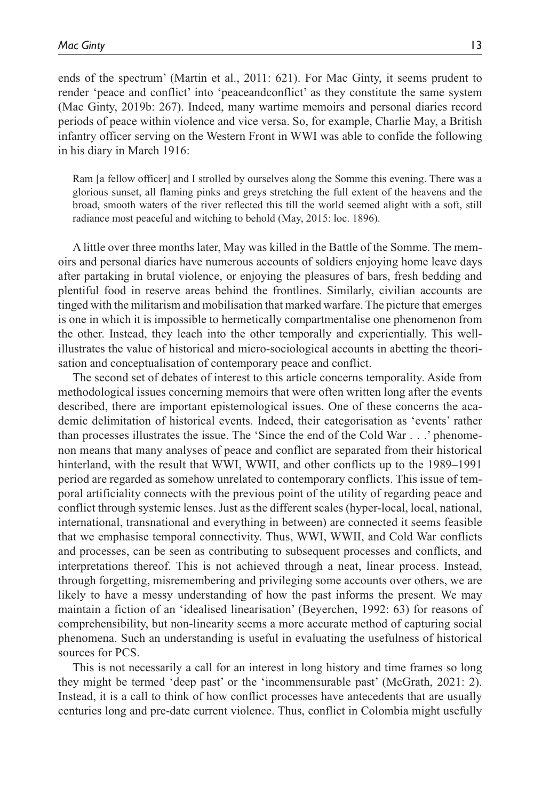ends of the spectrum' (Martin et al., 2011: 621). For Mac Ginty, it seems prudent to render 'peace and conflict' into 'peaceandconflict' as they constitute the same system (Mac Ginty, 2019b: 267). Indeed, many wartime memoirs and personal diaries record periods of peace within violence and vice versa. So, for example, Charlie May, a British infantry officer serving on the Western Front in WWI was able to confide the following in his diary in March 1916:

Ram [a fellow officer] and I strolled by ourselves along the Somme this evening. There was a glorious sunset, all flaming pinks and greys stretching the full extent of the heavens and the broad, smooth waters of the river reflected this till the world seemed alight with a soft, still radiance most peaceful and witching to behold (May, 2015: loc. 1896).

A little over three months later, May was killed in the Battle of the Somme. The memoirs and personal diaries have numerous accounts of soldiers enjoying home leave days after partaking in brutal violence, or enjoying the pleasures of bars, fresh bedding and plentiful food in reserve areas behind the frontlines. Similarly, civilian accounts are tinged with the militarism and mobilisation that marked warfare. The picture that emerges is one in which it is impossible to hermetically compartmentalise one phenomenon from the other. Instead, they leach into the other temporally and experientially. This wellillustrates the value of historical and micro-sociological accounts in abetting the theorisation and conceptualisation of contemporary peace and conflict.

The second set of debates of interest to this article concerns temporality. Aside from methodological issues concerning memoirs that were often written long after the events described, there are important epistemological issues. One of these concerns the academic delimitation of historical events. Indeed, their categorisation as 'events' rather than processes illustrates the issue. The 'Since the end of the Cold War . . .' phenomenon means that many analyses of peace and conflict are separated from their historical hinterland, with the result that WWI, WWII, and other conflicts up to the 1989–1991 period are regarded as somehow unrelated to contemporary conflicts. This issue of temporal artificiality connects with the previous point of the utility of regarding peace and conflict through systemic lenses. Just as the different scales (hyper-local, local, national, international, transnational and everything in between) are connected it seems feasible that we emphasise temporal connectivity. Thus, WWI, WWII, and Cold War conflicts and processes, can be seen as contributing to subsequent processes and conflicts, and interpretations thereof. This is not achieved through a neat, linear process. Instead, through forgetting, misremembering and privileging some accounts over others, we are likely to have a messy understanding of how the past informs the present. We may maintain a fiction of an 'idealised linearisation' (Beyerchen, 1992: 63) for reasons of comprehensibility, but non-linearity seems a more accurate method of capturing social phenomena. Such an understanding is useful in evaluating the usefulness of historical sources for PCS.

This is not necessarily a call for an interest in long history and time frames so long they might be termed 'deep past' or the 'incommensurable past' (McGrath, 2021: 2). Instead, it is a call to think of how conflict processes have antecedents that are usually centuries long and pre-date current violence. Thus, conflict in Colombia might usefully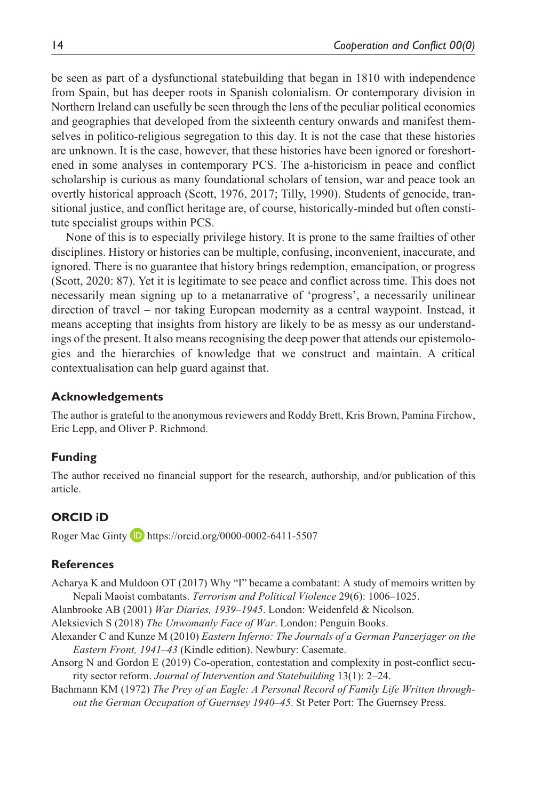be seen as part of a dysfunctional statebuilding that began in 1810 with independence from Spain, but has deeper roots in Spanish colonialism. Or contemporary division in Northern Ireland can usefully be seen through the lens of the peculiar political economies and geographies that developed from the sixteenth century onwards and manifest themselves in politico-religious segregation to this day. It is not the case that these histories are unknown. It is the case, however, that these histories have been ignored or foreshortened in some analyses in contemporary PCS. The a-historicism in peace and conflict scholarship is curious as many foundational scholars of tension, war and peace took an overtly historical approach (Scott, 1976, 2017; Tilly, 1990). Students of genocide, transitional justice, and conflict heritage are, of course, historically-minded but often constitute specialist groups within PCS.

None of this is to especially privilege history. It is prone to the same frailties of other disciplines. History or histories can be multiple, confusing, inconvenient, inaccurate, and ignored. There is no guarantee that history brings redemption, emancipation, or progress (Scott, 2020: 87). Yet it is legitimate to see peace and conflict across time. This does not necessarily mean signing up to a metanarrative of 'progress', a necessarily unilinear direction of travel – nor taking European modernity as a central waypoint. Instead, it means accepting that insights from history are likely to be as messy as our understandings of the present. It also means recognising the deep power that attends our epistemologies and the hierarchies of knowledge that we construct and maintain. A critical contextualisation can help guard against that.

#### **Acknowledgements**

The author is grateful to the anonymous reviewers and Roddy Brett, Kris Brown, Pamina Firchow, Eric Lepp, and Oliver P. Richmond.

#### **Funding**

The author received no financial support for the research, authorship, and/or publication of this article.

#### **ORCID iD**

Roger Mac Ginty **D** <https://orcid.org/0000-0002-6411-5507>

### **References**

Acharya K and Muldoon OT (2017) Why "I" became a combatant: A study of memoirs written by Nepali Maoist combatants. *Terrorism and Political Violence* 29(6): 1006–1025.

Alanbrooke AB (2001) *War Diaries, 1939–1945*. London: Weidenfeld & Nicolson.

Aleksievich S (2018) *The Unwomanly Face of War*. London: Penguin Books.

- Alexander C and Kunze M (2010) *Eastern Inferno: The Journals of a German Panzerjager on the Eastern Front, 1941–43* (Kindle edition). Newbury: Casemate.
- Ansorg N and Gordon E (2019) Co-operation, contestation and complexity in post-conflict security sector reform. *Journal of Intervention and Statebuilding* 13(1): 2–24.
- Bachmann KM (1972) *The Prey of an Eagle: A Personal Record of Family Life Written throughout the German Occupation of Guernsey 1940–45*. St Peter Port: The Guernsey Press.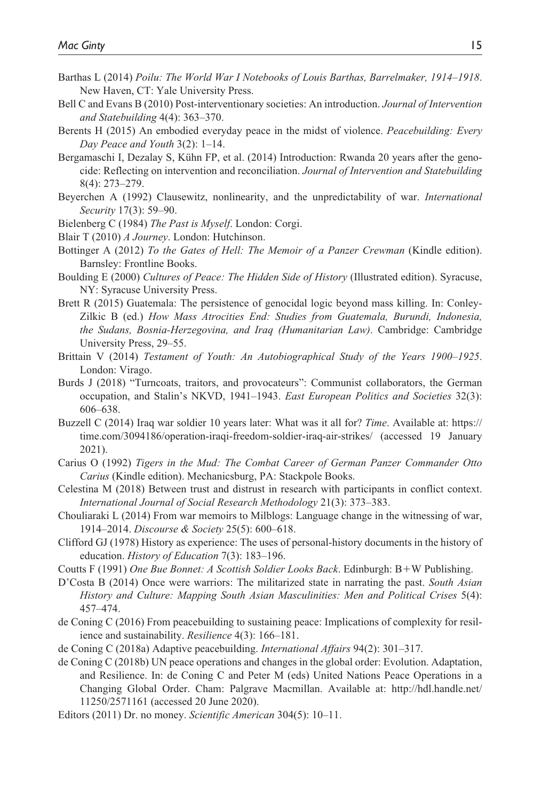- Barthas L (2014) *Poilu: The World War I Notebooks of Louis Barthas, Barrelmaker, 1914–1918*. New Haven, CT: Yale University Press.
- Bell C and Evans B (2010) Post-interventionary societies: An introduction. *Journal of Intervention and Statebuilding* 4(4): 363–370.
- Berents H (2015) An embodied everyday peace in the midst of violence. *Peacebuilding: Every Day Peace and Youth* 3(2): 1–14.
- Bergamaschi I, Dezalay S, Kühn FP, et al. (2014) Introduction: Rwanda 20 years after the genocide: Reflecting on intervention and reconciliation. *Journal of Intervention and Statebuilding* 8(4): 273–279.
- Beyerchen A (1992) Clausewitz, nonlinearity, and the unpredictability of war. *International Security* 17(3): 59–90.
- Bielenberg C (1984) *The Past is Myself*. London: Corgi.
- Blair T (2010) *A Journey*. London: Hutchinson.
- Bottinger A (2012) *To the Gates of Hell: The Memoir of a Panzer Crewman* (Kindle edition). Barnsley: Frontline Books.
- Boulding E (2000) *Cultures of Peace: The Hidden Side of History* (Illustrated edition). Syracuse, NY: Syracuse University Press.
- Brett R (2015) Guatemala: The persistence of genocidal logic beyond mass killing. In: Conley-Zilkic B (ed.) *How Mass Atrocities End: Studies from Guatemala, Burundi, Indonesia, the Sudans, Bosnia-Herzegovina, and Iraq (Humanitarian Law)*. Cambridge: Cambridge University Press, 29–55.
- Brittain V (2014) *Testament of Youth: An Autobiographical Study of the Years 1900–1925*. London: Virago.
- Burds J (2018) "Turncoats, traitors, and provocateurs": Communist collaborators, the German occupation, and Stalin's NKVD, 1941–1943. *East European Politics and Societies* 32(3): 606–638.
- Buzzell C (2014) Iraq war soldier 10 years later: What was it all for? *Time*. Available at: [https://](https://time.com/3094186/operation-iraqi-freedom-soldier-iraq-air-strikes/) [time.com/3094186/operation-iraqi-freedom-soldier-iraq-air-strikes/](https://time.com/3094186/operation-iraqi-freedom-soldier-iraq-air-strikes/) (accessed 19 January 2021).
- Carius O (1992) *Tigers in the Mud: The Combat Career of German Panzer Commander Otto Carius* (Kindle edition). Mechanicsburg, PA: Stackpole Books.
- Celestina M (2018) Between trust and distrust in research with participants in conflict context. *International Journal of Social Research Methodology* 21(3): 373–383.
- Chouliaraki L (2014) From war memoirs to Milblogs: Language change in the witnessing of war, 1914–2014. *Discourse & Society* 25(5): 600–618.
- Clifford GJ (1978) History as experience: The uses of personal-history documents in the history of education. *History of Education* 7(3): 183–196.
- Coutts F (1991) *One Bue Bonnet: A Scottish Soldier Looks Back*. Edinburgh: B+W Publishing.
- D'Costa B (2014) Once were warriors: The militarized state in narrating the past. *South Asian History and Culture: Mapping South Asian Masculinities: Men and Political Crises* 5(4): 457–474.
- de Coning C (2016) From peacebuilding to sustaining peace: Implications of complexity for resilience and sustainability. *Resilience* 4(3): 166–181.
- de Coning C (2018a) Adaptive peacebuilding. *International Affairs* 94(2): 301–317.
- de Coning C (2018b) UN peace operations and changes in the global order: Evolution. Adaptation, and Resilience. In: de Coning C and Peter M (eds) United Nations Peace Operations in a Changing Global Order. Cham: Palgrave Macmillan. Available at: [http://hdl.handle.net/](http://hdl.handle.net/11250/2571161) [11250/2571161](http://hdl.handle.net/11250/2571161) (accessed 20 June 2020).
- Editors (2011) Dr. no money. *Scientific American* 304(5): 10–11.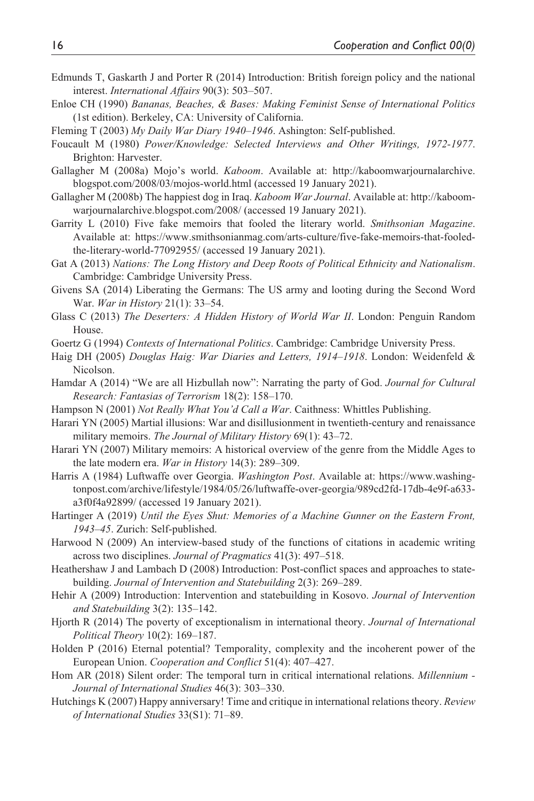- Edmunds T, Gaskarth J and Porter R (2014) Introduction: British foreign policy and the national interest. *International Affairs* 90(3): 503–507.
- Enloe CH (1990) *Bananas, Beaches, & Bases: Making Feminist Sense of International Politics* (1st edition). Berkeley, CA: University of California.
- Fleming T (2003) *My Daily War Diary 1940–1946*. Ashington: Self-published.
- Foucault M (1980) *Power/Knowledge: Selected Interviews and Other Writings, 1972-1977*. Brighton: Harvester.
- Gallagher M (2008a) Mojo's world. *Kaboom*. Available at: [http://kaboomwarjournalarchive.](http://kaboomwarjournalarchive.blogspot.com/2008/03/mojos-world.html) [blogspot.com/2008/03/mojos-world.html](http://kaboomwarjournalarchive.blogspot.com/2008/03/mojos-world.html) (accessed 19 January 2021).
- Gallagher M (2008b) The happiest dog in Iraq. *Kaboom War Journal*. Available at: [http://kaboom](http://kaboomwarjournalarchive.blogspot.com/2008/)[warjournalarchive.blogspot.com/2008/](http://kaboomwarjournalarchive.blogspot.com/2008/) (accessed 19 January 2021).
- Garrity L (2010) Five fake memoirs that fooled the literary world. *Smithsonian Magazine*. Available at: [https://www.smithsonianmag.com/arts-culture/five-fake-memoirs-that-fooled](https://www.smithsonianmag.com/arts-culture/five-fake-memoirs-that-fooled-the-literary-world-77092955/)[the-literary-world-77092955/](https://www.smithsonianmag.com/arts-culture/five-fake-memoirs-that-fooled-the-literary-world-77092955/) (accessed 19 January 2021).
- Gat A (2013) *Nations: The Long History and Deep Roots of Political Ethnicity and Nationalism*. Cambridge: Cambridge University Press.
- Givens SA (2014) Liberating the Germans: The US army and looting during the Second Word War. *War in History* 21(1): 33–54.
- Glass C (2013) *The Deserters: A Hidden History of World War II*. London: Penguin Random House.
- Goertz G (1994) *Contexts of International Politics*. Cambridge: Cambridge University Press.
- Haig DH (2005) *Douglas Haig: War Diaries and Letters, 1914–1918*. London: Weidenfeld & Nicolson.
- Hamdar A (2014) "We are all Hizbullah now": Narrating the party of God. *Journal for Cultural Research: Fantasias of Terrorism* 18(2): 158–170.
- Hampson N (2001) *Not Really What You'd Call a War*. Caithness: Whittles Publishing.
- Harari YN (2005) Martial illusions: War and disillusionment in twentieth-century and renaissance military memoirs. *The Journal of Military History* 69(1): 43–72.
- Harari YN (2007) Military memoirs: A historical overview of the genre from the Middle Ages to the late modern era. *War in History* 14(3): 289–309.
- Harris A (1984) Luftwaffe over Georgia. *Washington Post*. Available at: [https://www.washing](https://www.washingtonpost.com/archive/lifestyle/1984/05/26/luftwaffe-over-georgia/989cd2fd-17db-4e9f-a633-a3f0f4a92899/)[tonpost.com/archive/lifestyle/1984/05/26/luftwaffe-over-georgia/989cd2fd-17db-4e9f-a633](https://www.washingtonpost.com/archive/lifestyle/1984/05/26/luftwaffe-over-georgia/989cd2fd-17db-4e9f-a633-a3f0f4a92899/) [a3f0f4a92899/](https://www.washingtonpost.com/archive/lifestyle/1984/05/26/luftwaffe-over-georgia/989cd2fd-17db-4e9f-a633-a3f0f4a92899/) (accessed 19 January 2021).
- Hartinger A (2019) *Until the Eyes Shut: Memories of a Machine Gunner on the Eastern Front, 1943–45*. Zurich: Self-published.
- Harwood N (2009) An interview-based study of the functions of citations in academic writing across two disciplines. *Journal of Pragmatics* 41(3): 497–518.
- Heathershaw J and Lambach D (2008) Introduction: Post-conflict spaces and approaches to statebuilding. *Journal of Intervention and Statebuilding* 2(3): 269–289.
- Hehir A (2009) Introduction: Intervention and statebuilding in Kosovo. *Journal of Intervention and Statebuilding* 3(2): 135–142.
- Hjorth R (2014) The poverty of exceptionalism in international theory. *Journal of International Political Theory* 10(2): 169–187.
- Holden P (2016) Eternal potential? Temporality, complexity and the incoherent power of the European Union. *Cooperation and Conflict* 51(4): 407–427.
- Hom AR (2018) Silent order: The temporal turn in critical international relations. *Millennium Journal of International Studies* 46(3): 303–330.
- Hutchings K (2007) Happy anniversary! Time and critique in international relations theory. *Review of International Studies* 33(S1): 71–89.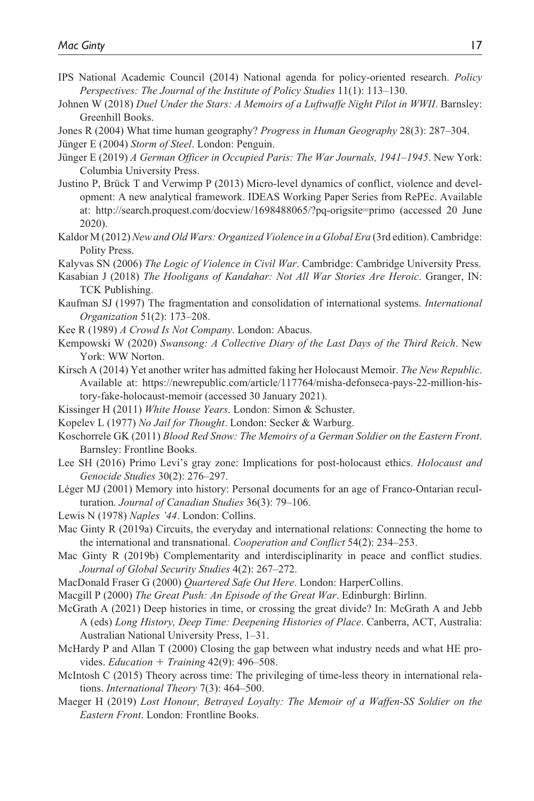- IPS National Academic Council (2014) National agenda for policy-oriented research. *Policy Perspectives: The Journal of the Institute of Policy Studies* 11(1): 113–130.
- Johnen W (2018) *Duel Under the Stars: A Memoirs of a Luftwaffe Night Pilot in WWII*. Barnsley: Greenhill Books.

Jones R (2004) What time human geography? *Progress in Human Geography* 28(3): 287–304.

Jünger E (2004) *Storm of Steel*. London: Penguin.

- Jünger E (2019) *A German Officer in Occupied Paris: The War Journals, 1941–1945*. New York: Columbia University Press.
- Justino P, Brück T and Verwimp P (2013) Micro-level dynamics of conflict, violence and development: A new analytical framework. IDEAS Working Paper Series from RePEc. Available at: <http://search.proquest.com/docview/1698488065/?pq-origsite=primo> (accessed 20 June 2020).
- Kaldor M (2012) *New and Old Wars: Organized Violence in a Global Era* (3rd edition). Cambridge: Polity Press.
- Kalyvas SN (2006) *The Logic of Violence in Civil War*. Cambridge: Cambridge University Press.
- Kasabian J (2018) *The Hooligans of Kandahar: Not All War Stories Are Heroic*. Granger, IN: TCK Publishing.
- Kaufman SJ (1997) The fragmentation and consolidation of international systems. *International Organization* 51(2): 173–208.
- Kee R (1989) *A Crowd Is Not Company*. London: Abacus.
- Kempowski W (2020) *Swansong: A Collective Diary of the Last Days of the Third Reich*. New York: WW Norton.
- Kirsch A (2014) Yet another writer has admitted faking her Holocaust Memoir. *The New Republic*. Available at: [https://newrepublic.com/article/117764/misha-defonseca-pays-22-million-his](https://newrepublic.com/article/117764/misha-defonseca-pays-22-million-history-fake-holocaust-memoir)[tory-fake-holocaust-memoir](https://newrepublic.com/article/117764/misha-defonseca-pays-22-million-history-fake-holocaust-memoir) (accessed 30 January 2021).
- Kissinger H (2011) *White House Years*. London: Simon & Schuster.
- Kopelev L (1977) *No Jail for Thought*. London: Secker & Warburg.
- Koschorrele GK (2011) *Blood Red Snow: The Memoirs of a German Soldier on the Eastern Front*. Barnsley: Frontline Books.
- Lee SH (2016) Primo Levi's gray zone: Implications for post-holocaust ethics. *Holocaust and Genocide Studies* 30(2): 276–297.
- Léger MJ (2001) Memory into history: Personal documents for an age of Franco-Ontarian reculturation. *Journal of Canadian Studies* 36(3): 79–106.
- Lewis N (1978) *Naples '44*. London: Collins.
- Mac Ginty R (2019a) Circuits, the everyday and international relations: Connecting the home to the international and transnational. *Cooperation and Conflict* 54(2): 234–253.
- Mac Ginty R (2019b) Complementarity and interdisciplinarity in peace and conflict studies. *Journal of Global Security Studies* 4(2): 267–272.
- MacDonald Fraser G (2000) *Quartered Safe Out Here*. London: HarperCollins.
- Macgill P (2000) *The Great Push: An Episode of the Great War*. Edinburgh: Birlinn.
- McGrath A (2021) Deep histories in time, or crossing the great divide? In: McGrath A and Jebb A (eds) *Long History, Deep Time: Deepening Histories of Place*. Canberra, ACT, Australia: Australian National University Press, 1–31.
- McHardy P and Allan T (2000) Closing the gap between what industry needs and what HE provides. *Education* + *Training* 42(9): 496–508.
- McIntosh C (2015) Theory across time: The privileging of time-less theory in international relations. *International Theory* 7(3): 464–500.
- Maeger H (2019) *Lost Honour, Betrayed Loyalty: The Memoir of a Waffen-SS Soldier on the Eastern Front*. London: Frontline Books.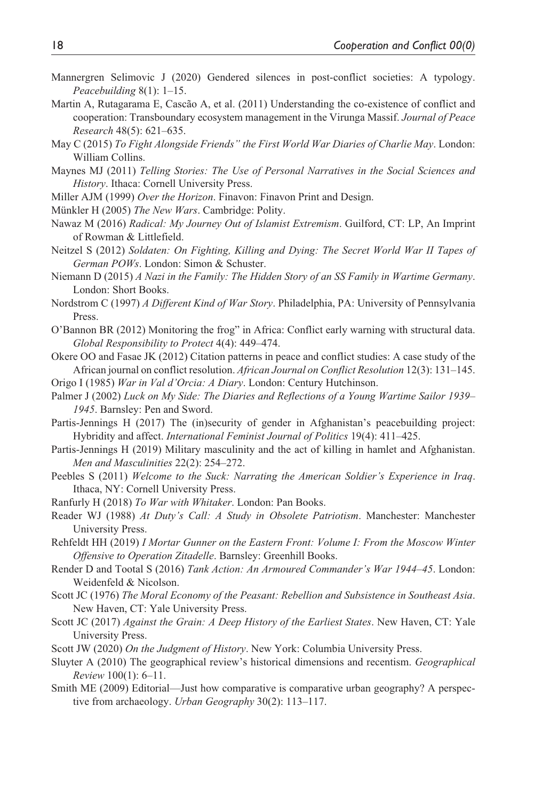- Mannergren Selimovic J (2020) Gendered silences in post-conflict societies: A typology. *Peacebuilding* 8(1): 1–15.
- Martin A, Rutagarama E, Cascão A, et al. (2011) Understanding the co-existence of conflict and cooperation: Transboundary ecosystem management in the Virunga Massif. *Journal of Peace Research* 48(5): 621–635.
- May C (2015) *To Fight Alongside Friends" the First World War Diaries of Charlie May*. London: William Collins.
- Maynes MJ (2011) *Telling Stories: The Use of Personal Narratives in the Social Sciences and History*. Ithaca: Cornell University Press.
- Miller AJM (1999) *Over the Horizon*. Finavon: Finavon Print and Design.
- Münkler H (2005) *The New Wars*. Cambridge: Polity.
- Nawaz M (2016) *Radical: My Journey Out of Islamist Extremism*. Guilford, CT: LP, An Imprint of Rowman & Littlefield.
- Neitzel S (2012) *Soldaten: On Fighting, Killing and Dying: The Secret World War II Tapes of German POWs*. London: Simon & Schuster.
- Niemann D (2015) *A Nazi in the Family: The Hidden Story of an SS Family in Wartime Germany*. London: Short Books.
- Nordstrom C (1997) *A Different Kind of War Story*. Philadelphia, PA: University of Pennsylvania Press.
- O'Bannon BR (2012) Monitoring the frog" in Africa: Conflict early warning with structural data. *Global Responsibility to Protect* 4(4): 449–474.
- Okere OO and Fasae JK (2012) Citation patterns in peace and conflict studies: A case study of the African journal on conflict resolution. *African Journal on Conflict Resolution* 12(3): 131–145.
- Origo I (1985) *War in Val d'Orcia: A Diary*. London: Century Hutchinson.
- Palmer J (2002) *Luck on My Side: The Diaries and Reflections of a Young Wartime Sailor 1939– 1945*. Barnsley: Pen and Sword.
- Partis-Jennings H (2017) The (in)security of gender in Afghanistan's peacebuilding project: Hybridity and affect. *International Feminist Journal of Politics* 19(4): 411–425.
- Partis-Jennings H (2019) Military masculinity and the act of killing in hamlet and Afghanistan. *Men and Masculinities* 22(2): 254–272.
- Peebles S (2011) *Welcome to the Suck: Narrating the American Soldier's Experience in Iraq*. Ithaca, NY: Cornell University Press.
- Ranfurly H (2018) *To War with Whitaker*. London: Pan Books.
- Reader WJ (1988) *At Duty's Call: A Study in Obsolete Patriotism*. Manchester: Manchester University Press.
- Rehfeldt HH (2019) *I Mortar Gunner on the Eastern Front: Volume I: From the Moscow Winter Offensive to Operation Zitadelle*. Barnsley: Greenhill Books.
- Render D and Tootal S (2016) *Tank Action: An Armoured Commander's War 1944–45*. London: Weidenfeld & Nicolson.
- Scott JC (1976) *The Moral Economy of the Peasant: Rebellion and Subsistence in Southeast Asia*. New Haven, CT: Yale University Press.
- Scott JC (2017) *Against the Grain: A Deep History of the Earliest States*. New Haven, CT: Yale University Press.
- Scott JW (2020) *On the Judgment of History*. New York: Columbia University Press.
- Sluyter A (2010) The geographical review's historical dimensions and recentism. *Geographical Review* 100(1): 6–11.
- Smith ME (2009) Editorial—Just how comparative is comparative urban geography? A perspective from archaeology. *Urban Geography* 30(2): 113–117.